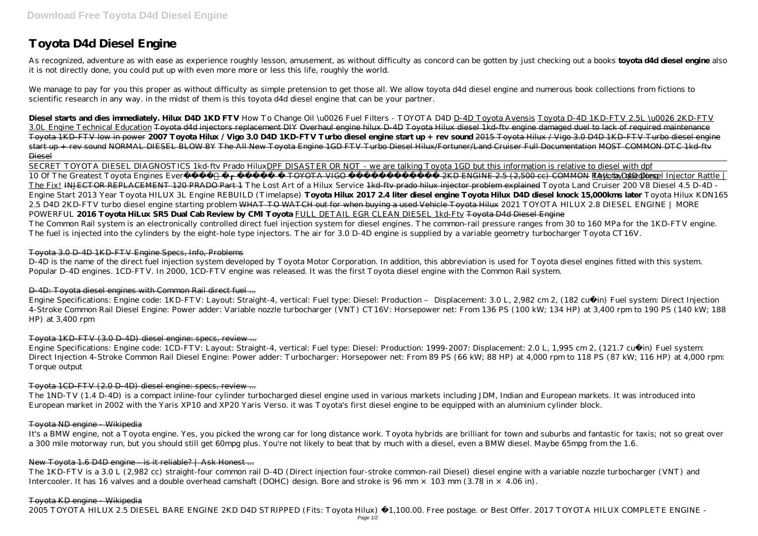# **Toyota D4d Diesel Engine**

As recognized, adventure as with ease as experience roughly lesson, amusement, as without difficulty as concord can be gotten by just checking out a books **toyota d4d diesel engine** also it is not directly done, you could put up with even more more or less this life, roughly the world.

We manage to pay for you this proper as without difficulty as simple pretension to get those all. We allow toyota d4d diesel engine and numerous book collections from fictions to scientific research in any way. in the midst of them is this toyota d4d diesel engine that can be your partner.

**Diesel starts and dies immediately. Hilux D4D 1KD FTV** *How To Change Oil \u0026 Fuel Filters - TOYOTA D4D* D-4D Toyota Avensis Toyota D-4D 1KD-FTV 2.5L \u0026 2KD-FTV 3.0L Engine Technical Education Toyota d4d injectors replacement DIY Overhaul engine hilux D-4D Toyota Hilux diesel 1kd ftv engine damaged duel to lack of required maintenance Toyota 1KD-FTV low in power **2007 Toyota Hilux / Vigo 3.0 D4D 1KD-FTV Turbo diesel engine start up + rev sound** 2015 Toyota Hilux / Vigo 3.0 D4D 1KD-FTV Turbo diesel engine start up + rev sound NORMAL DIESEL BLOW BY The All New Toyota Engine 1GD FTV Turbo Diesel Hilux/Fortuner/Land Cruiser Full Documentation MOST COMMON DTC 1kd-ftv Diesel

D-4D is the name of the direct fuel injection system developed by Toyota Motor Corporation. In addition, this abbreviation is used for Toyota diesel engines fitted with this system. Popular D-4D engines. 1CD-FTV. In 2000, 1CD-FTV engine was released. It was the first Toyota diesel engine with the Common Rail system.

Engine Specifications: Engine code: 1CD-FTV: Layout: Straight-4, vertical: Fuel type: Diesel: Production: 1999-2007: Displacement: 2.0 L, 1,995 cm 2, (121.7 cu· in) Fuel system: Direct Injection 4-Stroke Common Rail Diesel Engine: Power adder: Turbocharger: Horsepower net: From 89 PS (66 kW; 88 HP) at 4,000 rpm to 118 PS (87 kW; 116 HP) at 4,000 rpm: Torque output

SECRET TOYOTA DIESEL DIAGNOSTICS 1kd-ftv Prado HiluxDPF DISASTER OR NOT - we are talking Toyota 1GD but this information is relative to diesel with dpf 10 Of The Greatest Toyota Engines Everแกะกล่อง ► TOYOTA VIGO เครื่อง 2KD ENGINE 2.5 (2,500 cc) COMMON RAIL by gaeglong Toyota D4D Diesel Injector Rattle | The Fix! INJECTOR REPLACEMENT 120 PRADO Part 1 *The Lost Art of a Hilux Service* 1kd-ftv prado hilux injector problem explained *Toyota Land Cruiser 200 V8 Diesel 4.5 D-4D - Engine Start 2013 Year Toyota HILUX 3L Engine REBUILD (Timelapse)* **Toyota Hilux 2017 2.4 liter diesel engine Toyota Hilux D4D diesel knock 15,000kms later** *Toyota Hilux KDN165 2.5 D4D 2KD-FTV turbo diesel engine starting problem* WHAT TO WATCH out for when buying a used Vehicle Toyota Hilux *2021 TOYOTA HILUX 2.8 DIESEL ENGINE | MORE POWERFUL* **2016 Toyota HiLux SR5 Dual Cab Review by CMI Toyota** FULL DETAIL EGR CLEAN DIESEL 1kd-Ftv Toyota D4d Diesel Engine The Common Rail system is an electronically controlled direct fuel injection system for diesel engines. The common-rail pressure ranges from 30 to 160 MPa for the 1KD-FTV engine. The fuel is injected into the cylinders by the eight-hole type injectors. The air for 3.0 D-4D engine is supplied by a variable geometry turbocharger Toyota CT16V.

It's a BMW engine, not a Toyota engine. Yes, you picked the wrong car for long distance work. Toyota hybrids are brilliant for town and suburbs and fantastic for taxis; not so great over a 300 mile motorway run, but you should still get 60mpg plus. You're not likely to beat that by much with a diesel, even a BMW diesel. Maybe 65mpg from the 1.6.

The 1KD-FTV is a 3.0 L (2,982 cc) straight-four common rail D-4D (Direct injection four-stroke common-rail Diesel) diesel engine with a variable nozzle turbocharger (VNT) and Intercooler. It has 16 valves and a double overhead camshaft (DOHC) design. Bore and stroke is 96 mm  $\times$  103 mm (3.78 in  $\times$  4.06 in).

#### Toyota 3.0 D-4D 1KD-FTV Engine Specs, Info, Problems

# D-4D: Toyota diesel engines with Common Rail direct fuel ...

Engine Specifications: Engine code: 1KD-FTV: Layout: Straight-4, vertical: Fuel type: Diesel: Production – Displacement: 3.0 L, 2,982 cm 2, (182 cu·in) Fuel system: Direct Injection 4-Stroke Common Rail Diesel Engine: Power adder: Variable nozzle turbocharger (VNT) CT16V: Horsepower net: From 136 PS (100 kW; 134 HP) at 3,400 rpm to 190 PS (140 kW; 188 HP) at 3,400 rpm

# Toyota 1KD-FTV (3.0 D-4D) diesel engine: specs, review ...

# Toyota 1CD-FTV (2.0 D-4D) diesel engine: specs, review ...

The 1ND-TV (1.4 D-4D) is a compact inline-four cylinder turbocharged diesel engine used in various markets including JDM, Indian and European markets. It was introduced into European market in 2002 with the Yaris XP10 and XP20 Yaris Verso. it was Toyota's first diesel engine to be equipped with an aluminium cylinder block.

# Toyota ND engine - Wikipedia

# New Toyota 1.6 D4D engine - is it reliable? | Ask Honest ...

#### Toyota KD engine - Wikipedia

2005 TOYOTA HILUX 2.5 DIESEL BARE ENGINE 2KD D4D STRIPPED (Fits: Toyota Hilux) £1,100.00. Free postage. or Best Offer. 2017 TOYOTA HILUX COMPLETE ENGINE -